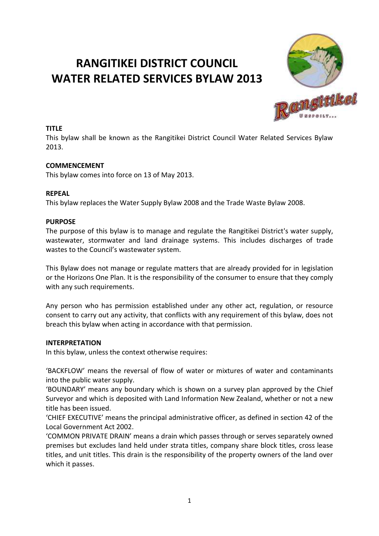# **RANGITIKEI DISTRICT COUNCIL WATER RELATED SERVICES BYLAW 2013**



#### **TITLE**

This bylaw shall be known as the Rangitikei District Council Water Related Services Bylaw 2013.

#### **COMMENCEMENT**

This bylaw comes into force on 13 of May 2013.

#### **REPEAL**

This bylaw replaces the Water Supply Bylaw 2008 and the Trade Waste Bylaw 2008.

#### **PURPOSE**

The purpose of this bylaw is to manage and regulate the Rangitikei District's water supply, wastewater, stormwater and land drainage systems. This includes discharges of trade wastes to the Council's wastewater system.

This Bylaw does not manage or regulate matters that are already provided for in legislation or the Horizons One Plan. It is the responsibility of the consumer to ensure that they comply with any such requirements.

Any person who has permission established under any other act, regulation, or resource consent to carry out any activity, that conflicts with any requirement of this bylaw, does not breach this bylaw when acting in accordance with that permission.

#### **INTERPRETATION**

In this bylaw, unless the context otherwise requires:

'BACKFLOW' means the reversal of flow of water or mixtures of water and contaminants into the public water supply.

'BOUNDARY' means any boundary which is shown on a survey plan approved by the Chief Surveyor and which is deposited with Land Information New Zealand, whether or not a new title has been issued.

'CHIEF EXECUTIVE' means the principal administrative officer, as defined in section 42 of the Local Government Act 2002.

'COMMON PRIVATE DRAIN' means a drain which passes through or serves separately owned premises but excludes land held under strata titles, company share block titles, cross lease titles, and unit titles. This drain is the responsibility of the property owners of the land over which it passes.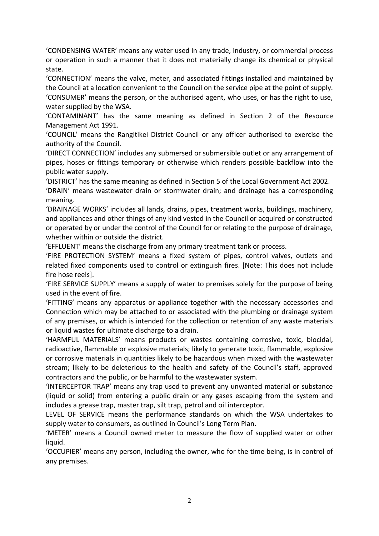'CONDENSING WATER' means any water used in any trade, industry, or commercial process or operation in such a manner that it does not materially change its chemical or physical state.

'CONNECTION' means the valve, meter, and associated fittings installed and maintained by the Council at a location convenient to the Council on the service pipe at the point of supply. 'CONSUMER' means the person, or the authorised agent, who uses, or has the right to use, water supplied by the WSA.

'CONTAMINANT' has the same meaning as defined in Section 2 of the Resource Management Act 1991.

'COUNCIL' means the Rangitikei District Council or any officer authorised to exercise the authority of the Council.

'DIRECT CONNECTION' includes any submersed or submersible outlet or any arrangement of pipes, hoses or fittings temporary or otherwise which renders possible backflow into the public water supply.

'DISTRICT' has the same meaning as defined in Section 5 of the Local Government Act 2002.

'DRAIN' means wastewater drain or stormwater drain; and drainage has a corresponding meaning.

'DRAINAGE WORKS' includes all lands, drains, pipes, treatment works, buildings, machinery, and appliances and other things of any kind vested in the Council or acquired or constructed or operated by or under the control of the Council for or relating to the purpose of drainage, whether within or outside the district.

'EFFLUENT' means the discharge from any primary treatment tank or process.

'FIRE PROTECTION SYSTEM' means a fixed system of pipes, control valves, outlets and related fixed components used to control or extinguish fires. [Note: This does not include fire hose reels].

'FIRE SERVICE SUPPLY' means a supply of water to premises solely for the purpose of being used in the event of fire.

'FITTING' means any apparatus or appliance together with the necessary accessories and Connection which may be attached to or associated with the plumbing or drainage system of any premises, or which is intended for the collection or retention of any waste materials or liquid wastes for ultimate discharge to a drain.

'HARMFUL MATERIALS' means products or wastes containing corrosive, toxic, biocidal, radioactive, flammable or explosive materials; likely to generate toxic, flammable, explosive or corrosive materials in quantities likely to be hazardous when mixed with the wastewater stream; likely to be deleterious to the health and safety of the Council's staff, approved contractors and the public, or be harmful to the wastewater system.

'INTERCEPTOR TRAP' means any trap used to prevent any unwanted material or substance (liquid or solid) from entering a public drain or any gases escaping from the system and includes a grease trap, master trap, silt trap, petrol and oil interceptor.

LEVEL OF SERVICE means the performance standards on which the WSA undertakes to supply water to consumers, as outlined in Council's Long Term Plan.

'METER' means a Council owned meter to measure the flow of supplied water or other liquid.

'OCCUPIER' means any person, including the owner, who for the time being, is in control of any premises.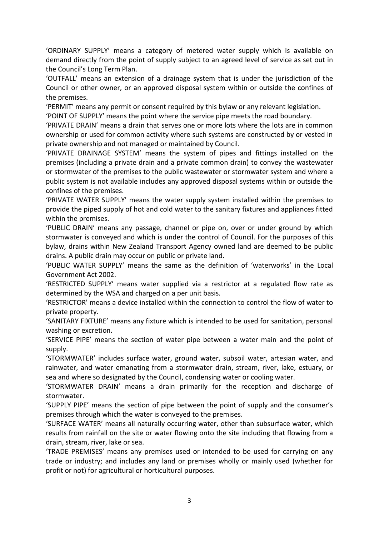'ORDINARY SUPPLY' means a category of metered water supply which is available on demand directly from the point of supply subject to an agreed level of service as set out in the Council's Long Term Plan.

'OUTFALL' means an extension of a drainage system that is under the jurisdiction of the Council or other owner, or an approved disposal system within or outside the confines of the premises.

'PERMIT' means any permit or consent required by this bylaw or any relevant legislation.

'POINT OF SUPPLY' means the point where the service pipe meets the road boundary.

'PRIVATE DRAIN' means a drain that serves one or more lots where the lots are in common ownership or used for common activity where such systems are constructed by or vested in private ownership and not managed or maintained by Council.

'PRIVATE DRAINAGE SYSTEM' means the system of pipes and fittings installed on the premises (including a private drain and a private common drain) to convey the wastewater or stormwater of the premises to the public wastewater or stormwater system and where a public system is not available includes any approved disposal systems within or outside the confines of the premises.

'PRIVATE WATER SUPPLY' means the water supply system installed within the premises to provide the piped supply of hot and cold water to the sanitary fixtures and appliances fitted within the premises.

'PUBLIC DRAIN' means any passage, channel or pipe on, over or under ground by which stormwater is conveyed and which is under the control of Council. For the purposes of this bylaw, drains within New Zealand Transport Agency owned land are deemed to be public drains. A public drain may occur on public or private land.

'PUBLIC WATER SUPPLY' means the same as the definition of 'waterworks' in the Local Government Act 2002.

'RESTRICTED SUPPLY' means water supplied via a restrictor at a regulated flow rate as determined by the WSA and charged on a per unit basis.

'RESTRICTOR' means a device installed within the connection to control the flow of water to private property.

'SANITARY FIXTURE' means any fixture which is intended to be used for sanitation, personal washing or excretion.

'SERVICE PIPE' means the section of water pipe between a water main and the point of supply.

'STORMWATER' includes surface water, ground water, subsoil water, artesian water, and rainwater, and water emanating from a stormwater drain, stream, river, lake, estuary, or sea and where so designated by the Council, condensing water or cooling water.

'STORMWATER DRAIN' means a drain primarily for the reception and discharge of stormwater.

'SUPPLY PIPE' means the section of pipe between the point of supply and the consumer's premises through which the water is conveyed to the premises.

'SURFACE WATER' means all naturally occurring water, other than subsurface water, which results from rainfall on the site or water flowing onto the site including that flowing from a drain, stream, river, lake or sea.

'TRADE PREMISES' means any premises used or intended to be used for carrying on any trade or industry; and includes any land or premises wholly or mainly used (whether for profit or not) for agricultural or horticultural purposes.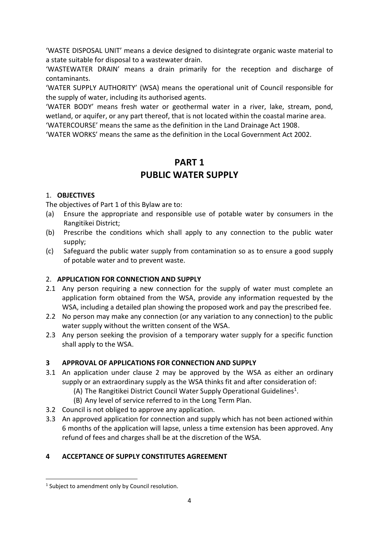'WASTE DISPOSAL UNIT' means a device designed to disintegrate organic waste material to a state suitable for disposal to a wastewater drain.

'WASTEWATER DRAIN' means a drain primarily for the reception and discharge of contaminants.

'WATER SUPPLY AUTHORITY' (WSA) means the operational unit of Council responsible for the supply of water, including its authorised agents.

'WATER BODY' means fresh water or geothermal water in a river, lake, stream, pond, wetland, or aquifer, or any part thereof, that is not located within the coastal marine area.

'WATERCOURSE' means the same as the definition in the Land Drainage Act 1908.

'WATER WORKS' means the same as the definition in the Local Government Act 2002.

# **PART 1 PUBLIC WATER SUPPLY**

## 1. **OBJECTIVES**

The objectives of Part 1 of this Bylaw are to:

- (a) Ensure the appropriate and responsible use of potable water by consumers in the Rangitikei District;
- (b) Prescribe the conditions which shall apply to any connection to the public water supply;
- (c) Safeguard the public water supply from contamination so as to ensure a good supply of potable water and to prevent waste.

# 2. **APPLICATION FOR CONNECTION AND SUPPLY**

- 2.1 Any person requiring a new connection for the supply of water must complete an application form obtained from the WSA, provide any information requested by the WSA, including a detailed plan showing the proposed work and pay the prescribed fee.
- 2.2 No person may make any connection (or any variation to any connection) to the public water supply without the written consent of the WSA.
- 2.3 Any person seeking the provision of a temporary water supply for a specific function shall apply to the WSA.

# **3 APPROVAL OF APPLICATIONS FOR CONNECTION AND SUPPLY**

- 3.1 An application under clause 2 may be approved by the WSA as either an ordinary supply or an extraordinary supply as the WSA thinks fit and after consideration of:
	- (A) The Rangitikei District Council Water Supply Operational Guidelines<sup>1</sup>.
	- (B) Any level of service referred to in the Long Term Plan.
- 3.2 Council is not obliged to approve any application.
- 3.3 An approved application for connection and supply which has not been actioned within 6 months of the application will lapse, unless a time extension has been approved. Any refund of fees and charges shall be at the discretion of the WSA.

# **4 ACCEPTANCE OF SUPPLY CONSTITUTES AGREEMENT**

**.** 

<sup>&</sup>lt;sup>1</sup> Subject to amendment only by Council resolution.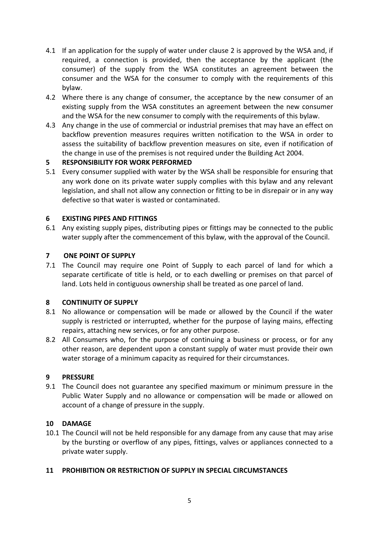- 4.1 If an application for the supply of water under clause 2 is approved by the WSA and, if required, a connection is provided, then the acceptance by the applicant (the consumer) of the supply from the WSA constitutes an agreement between the consumer and the WSA for the consumer to comply with the requirements of this bylaw.
- 4.2 Where there is any change of consumer, the acceptance by the new consumer of an existing supply from the WSA constitutes an agreement between the new consumer and the WSA for the new consumer to comply with the requirements of this bylaw.
- 4.3 Any change in the use of commercial or industrial premises that may have an effect on backflow prevention measures requires written notification to the WSA in order to assess the suitability of backflow prevention measures on site, even if notification of the change in use of the premises is not required under the Building Act 2004.

## **5 RESPONSIBILITY FOR WORK PERFORMED**

5.1 Every consumer supplied with water by the WSA shall be responsible for ensuring that any work done on its private water supply complies with this bylaw and any relevant legislation, and shall not allow any connection or fitting to be in disrepair or in any way defective so that water is wasted or contaminated.

## **6 EXISTING PIPES AND FITTINGS**

6.1 Any existing supply pipes, distributing pipes or fittings may be connected to the public water supply after the commencement of this bylaw, with the approval of the Council.

## **7 ONE POINT OF SUPPLY**

7.1 The Council may require one Point of Supply to each parcel of land for which a separate certificate of title is held, or to each dwelling or premises on that parcel of land. Lots held in contiguous ownership shall be treated as one parcel of land.

#### **8 CONTINUITY OF SUPPLY**

- 8.1 No allowance or compensation will be made or allowed by the Council if the water supply is restricted or interrupted, whether for the purpose of laying mains, effecting repairs, attaching new services, or for any other purpose.
- 8.2 All Consumers who, for the purpose of continuing a business or process, or for any other reason, are dependent upon a constant supply of water must provide their own water storage of a minimum capacity as required for their circumstances.

#### **9 PRESSURE**

9.1 The Council does not guarantee any specified maximum or minimum pressure in the Public Water Supply and no allowance or compensation will be made or allowed on account of a change of pressure in the supply.

#### **10 DAMAGE**

10.1 The Council will not be held responsible for any damage from any cause that may arise by the bursting or overflow of any pipes, fittings, valves or appliances connected to a private water supply.

#### **11 PROHIBITION OR RESTRICTION OF SUPPLY IN SPECIAL CIRCUMSTANCES**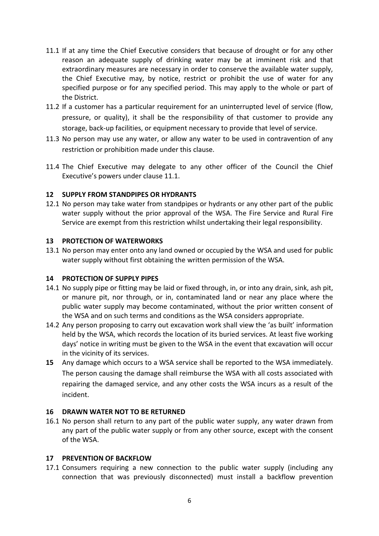- 11.1 If at any time the Chief Executive considers that because of drought or for any other reason an adequate supply of drinking water may be at imminent risk and that extraordinary measures are necessary in order to conserve the available water supply, the Chief Executive may, by notice, restrict or prohibit the use of water for any specified purpose or for any specified period. This may apply to the whole or part of the District.
- 11.2 If a customer has a particular requirement for an uninterrupted level of service (flow, pressure, or quality), it shall be the responsibility of that customer to provide any storage, back-up facilities, or equipment necessary to provide that level of service.
- 11.3 No person may use any water, or allow any water to be used in contravention of any restriction or prohibition made under this clause.
- 11.4 The Chief Executive may delegate to any other officer of the Council the Chief Executive's powers under clause 11.1.

#### **12 SUPPLY FROM STANDPIPES OR HYDRANTS**

12.1 No person may take water from standpipes or hydrants or any other part of the public water supply without the prior approval of the WSA. The Fire Service and Rural Fire Service are exempt from this restriction whilst undertaking their legal responsibility.

#### **13 PROTECTION OF WATERWORKS**

13.1 No person may enter onto any land owned or occupied by the WSA and used for public water supply without first obtaining the written permission of the WSA.

#### **14 PROTECTION OF SUPPLY PIPES**

- 14.1 No supply pipe or fitting may be laid or fixed through, in, or into any drain, sink, ash pit, or manure pit, nor through, or in, contaminated land or near any place where the public water supply may become contaminated, without the prior written consent of the WSA and on such terms and conditions as the WSA considers appropriate.
- 14.2 Any person proposing to carry out excavation work shall view the 'as built' information held by the WSA, which records the location of its buried services. At least five working days' notice in writing must be given to the WSA in the event that excavation will occur in the vicinity of its services.
- **15** Any damage which occurs to a WSA service shall be reported to the WSA immediately. The person causing the damage shall reimburse the WSA with all costs associated with repairing the damaged service, and any other costs the WSA incurs as a result of the incident.

#### **16 DRAWN WATER NOT TO BE RETURNED**

16.1 No person shall return to any part of the public water supply, any water drawn from any part of the public water supply or from any other source, except with the consent of the WSA.

#### **17 PREVENTION OF BACKFLOW**

17.1 Consumers requiring a new connection to the public water supply (including any connection that was previously disconnected) must install a backflow prevention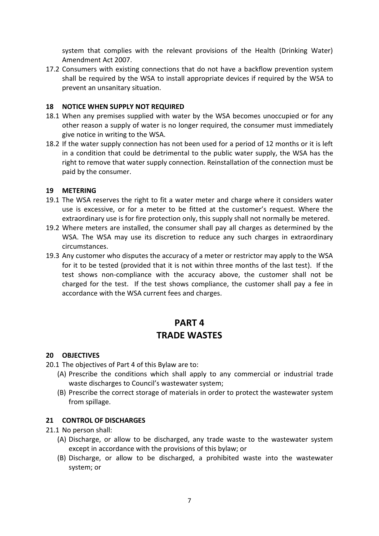system that complies with the relevant provisions of the Health (Drinking Water) Amendment Act 2007.

17.2 Consumers with existing connections that do not have a backflow prevention system shall be required by the WSA to install appropriate devices if required by the WSA to prevent an unsanitary situation.

#### **18 NOTICE WHEN SUPPLY NOT REQUIRED**

- 18.1 When any premises supplied with water by the WSA becomes unoccupied or for any other reason a supply of water is no longer required, the consumer must immediately give notice in writing to the WSA.
- 18.2 If the water supply connection has not been used for a period of 12 months or it is left in a condition that could be detrimental to the public water supply, the WSA has the right to remove that water supply connection. Reinstallation of the connection must be paid by the consumer.

#### **19 METERING**

- 19.1 The WSA reserves the right to fit a water meter and charge where it considers water use is excessive, or for a meter to be fitted at the customer's request. Where the extraordinary use is for fire protection only, this supply shall not normally be metered.
- 19.2 Where meters are installed, the consumer shall pay all charges as determined by the WSA. The WSA may use its discretion to reduce any such charges in extraordinary circumstances.
- 19.3 Any customer who disputes the accuracy of a meter or restrictor may apply to the WSA for it to be tested (provided that it is not within three months of the last test). If the test shows non-compliance with the accuracy above, the customer shall not be charged for the test. If the test shows compliance, the customer shall pay a fee in accordance with the WSA current fees and charges.

# **PART 4 TRADE WASTES**

#### **20 OBJECTIVES**

- 20.1 The objectives of Part 4 of this Bylaw are to:
	- (A) Prescribe the conditions which shall apply to any commercial or industrial trade waste discharges to Council's wastewater system;
	- (B) Prescribe the correct storage of materials in order to protect the wastewater system from spillage.

#### **21 CONTROL OF DISCHARGES**

- 21.1 No person shall:
	- (A) Discharge, or allow to be discharged, any trade waste to the wastewater system except in accordance with the provisions of this bylaw; or
	- (B) Discharge, or allow to be discharged, a prohibited waste into the wastewater system; or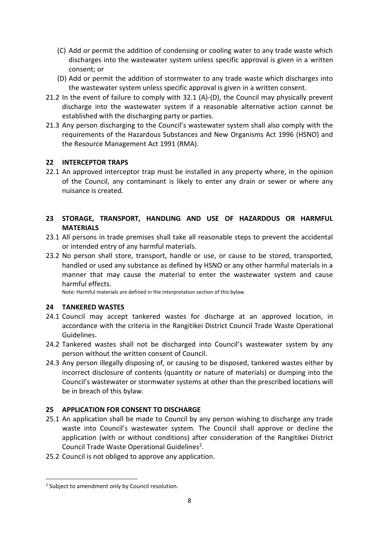- (C) Add or permit the addition of condensing or cooling water to any trade waste which discharges into the wastewater system unless specific approval is given in a written consent; or
- (D) Add or permit the addition of stormwater to any trade waste which discharges into the wastewater system unless specific approval is given in a written consent.
- 21.2 In the event of failure to comply with 32.1 (A)-(D), the Council may physically prevent discharge into the wastewater system if a reasonable alternative action cannot be established with the discharging party or parties.
- 21.3 Any person discharging to the Council's wastewater system shall also comply with the requirements of the Hazardous Substances and New Organisms Act 1996 (HSNO) and the Resource Management Act 1991 (RMA).

## **22 INTERCEPTOR TRAPS**

22.1 An approved interceptor trap must be installed in any property where, in the opinion of the Council, any contaminant is likely to enter any drain or sewer or where any nuisance is created.

## **23 STORAGE, TRANSPORT, HANDLING AND USE OF HAZARDOUS OR HARMFUL MATERIALS**

- 23.1 All persons in trade premises shall take all reasonable steps to prevent the accidental or intended entry of any harmful materials.
- 23.2 No person shall store, transport, handle or use, or cause to be stored, transported, handled or used any substance as defined by HSNO or any other harmful materials in a manner that may cause the material to enter the wastewater system and cause harmful effects.

Note: Harmful materials are defined in the interpretation section of this bylaw.

#### **24 TANKERED WASTES**

- 24.1 Council may accept tankered wastes for discharge at an approved location, in accordance with the criteria in the Rangitikei District Council Trade Waste Operational Guidelines.
- 24.2 Tankered wastes shall not be discharged into Council's wastewater system by any person without the written consent of Council.
- 24.3 Any person illegally disposing of, or causing to be disposed, tankered wastes either by incorrect disclosure of contents (quantity or nature of materials) or dumping into the Council's wastewater or stormwater systems at other than the prescribed locations will be in breach of this bylaw.

# **25 APPLICATION FOR CONSENT TO DISCHARGE**

- 25.1 An application shall be made to Council by any person wishing to discharge any trade waste into Council's wastewater system. The Council shall approve or decline the application (with or without conditions) after consideration of the Rangitikei District Council Trade Waste Operational Guidelines<sup>2</sup>.
- 25.2 Council is not obliged to approve any application.

**.** 

<sup>&</sup>lt;sup>2</sup> Subject to amendment only by Council resolution.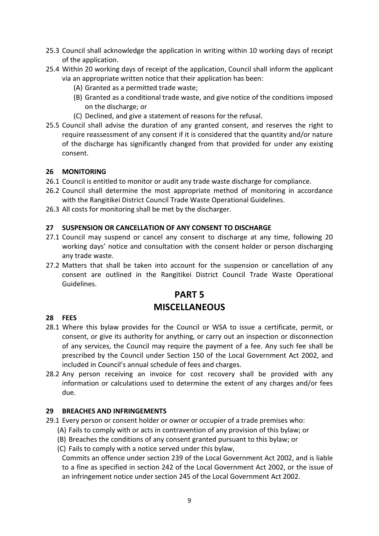- 25.3 Council shall acknowledge the application in writing within 10 working days of receipt of the application.
- 25.4 Within 20 working days of receipt of the application, Council shall inform the applicant via an appropriate written notice that their application has been:
	- (A) Granted as a permitted trade waste;
	- (B) Granted as a conditional trade waste, and give notice of the conditions imposed on the discharge; or
	- (C) Declined, and give a statement of reasons for the refusal.
- 25.5 Council shall advise the duration of any granted consent, and reserves the right to require reassessment of any consent if it is considered that the quantity and/or nature of the discharge has significantly changed from that provided for under any existing consent.

#### **26 MONITORING**

- 26.1 Council is entitled to monitor or audit any trade waste discharge for compliance.
- 26.2 Council shall determine the most appropriate method of monitoring in accordance with the Rangitikei District Council Trade Waste Operational Guidelines.
- 26.3 All costs for monitoring shall be met by the discharger.

#### **27 SUSPENSION OR CANCELLATION OF ANY CONSENT TO DISCHARGE**

- 27.1 Council may suspend or cancel any consent to discharge at any time, following 20 working days' notice and consultation with the consent holder or person discharging any trade waste.
- 27.2 Matters that shall be taken into account for the suspension or cancellation of any consent are outlined in the Rangitikei District Council Trade Waste Operational Guidelines.

# **PART 5 MISCELLANEOUS**

#### **28 FEES**

- 28.1 Where this bylaw provides for the Council or WSA to issue a certificate, permit, or consent, or give its authority for anything, or carry out an inspection or disconnection of any services, the Council may require the payment of a fee. Any such fee shall be prescribed by the Council under Section 150 of the Local Government Act 2002, and included in Council's annual schedule of fees and charges.
- 28.2 Any person receiving an invoice for cost recovery shall be provided with any information or calculations used to determine the extent of any charges and/or fees due.

#### **29 BREACHES AND INFRINGEMENTS**

- 29.1 Every person or consent holder or owner or occupier of a trade premises who:
	- (A) Fails to comply with or acts in contravention of any provision of this bylaw; or
	- (B) Breaches the conditions of any consent granted pursuant to this bylaw; or
	- (C) Fails to comply with a notice served under this bylaw,

Commits an offence under section 239 of the Local Government Act 2002, and is liable to a fine as specified in section 242 of the Local Government Act 2002, or the issue of an infringement notice under section 245 of the Local Government Act 2002.